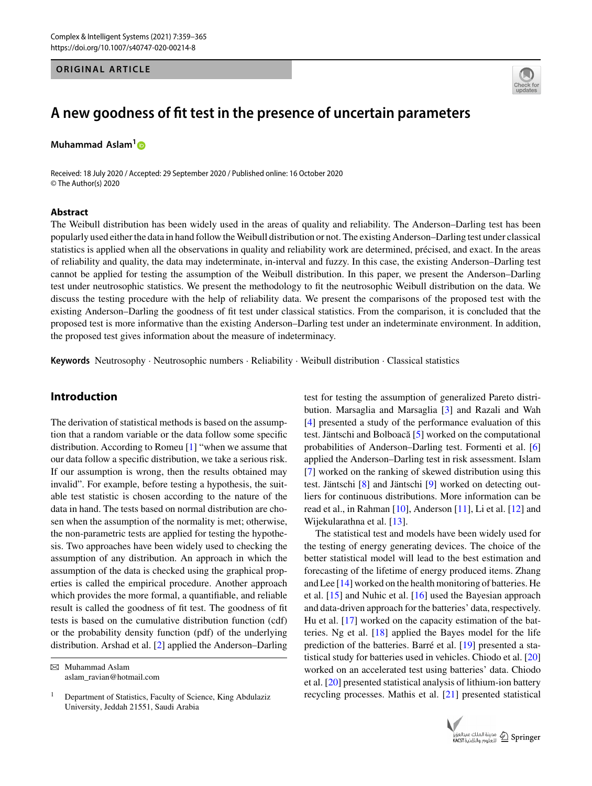### **ORIGINAL ARTICLE**



# **A new goodness of fit test in the presence of uncertain parameters**

**Muhammad Aslam[1](http://orcid.org/0000-0003-0644-1950)**

Received: 18 July 2020 / Accepted: 29 September 2020 / Published online: 16 October 2020 © The Author(s) 2020

#### **Abstract**

The Weibull distribution has been widely used in the areas of quality and reliability. The Anderson–Darling test has been popularly used either the data in hand follow the Weibull distribution or not. The existing Anderson–Darling test under classical statistics is applied when all the observations in quality and reliability work are determined, précised, and exact. In the areas of reliability and quality, the data may indeterminate, in-interval and fuzzy. In this case, the existing Anderson–Darling test cannot be applied for testing the assumption of the Weibull distribution. In this paper, we present the Anderson–Darling test under neutrosophic statistics. We present the methodology to fit the neutrosophic Weibull distribution on the data. We discuss the testing procedure with the help of reliability data. We present the comparisons of the proposed test with the existing Anderson–Darling the goodness of fit test under classical statistics. From the comparison, it is concluded that the proposed test is more informative than the existing Anderson–Darling test under an indeterminate environment. In addition, the proposed test gives information about the measure of indeterminacy.

**Keywords** Neutrosophy · Neutrosophic numbers · Reliability · Weibull distribution · Classical statistics

# **Introduction**

The derivation of statistical methods is based on the assumption that a random variable or the data follow some specific distribution. According to Romeu [\[1\]](#page-5-0) "when we assume that our data follow a specific distribution, we take a serious risk. If our assumption is wrong, then the results obtained may invalid". For example, before testing a hypothesis, the suitable test statistic is chosen according to the nature of the data in hand. The tests based on normal distribution are chosen when the assumption of the normality is met; otherwise, the non-parametric tests are applied for testing the hypothesis. Two approaches have been widely used to checking the assumption of any distribution. An approach in which the assumption of the data is checked using the graphical properties is called the empirical procedure. Another approach which provides the more formal, a quantifiable, and reliable result is called the goodness of fit test. The goodness of fit tests is based on the cumulative distribution function (cdf) or the probability density function (pdf) of the underlying distribution. Arshad et al. [\[2\]](#page-5-1) applied the Anderson–Darling

B Muhammad Aslam aslam\_ravian@hotmail.com test for testing the assumption of generalized Pareto distribution. Marsaglia and Marsaglia [\[3\]](#page-5-2) and Razali and Wah [\[4\]](#page-5-3) presented a study of the performance evaluation of this test. Jäntschi and Bolboacă [\[5\]](#page-5-4) worked on the computational probabilities of Anderson–Darling test. Formenti et al. [\[6\]](#page-5-5) applied the Anderson–Darling test in risk assessment. Islam [\[7\]](#page-5-6) worked on the ranking of skewed distribution using this test. Jäntschi [\[8\]](#page-5-7) and Jäntschi [\[9\]](#page-5-8) worked on detecting outliers for continuous distributions. More information can be read et al., in Rahman [\[10\]](#page-5-9), Anderson [\[11\]](#page-5-10), Li et al. [\[12\]](#page-5-11) and Wijekularathna et al. [\[13\]](#page-5-12).

The statistical test and models have been widely used for the testing of energy generating devices. The choice of the better statistical model will lead to the best estimation and forecasting of the lifetime of energy produced items. Zhang and Lee [\[14\]](#page-5-13) worked on the health monitoring of batteries. He et al. [\[15\]](#page-5-14) and Nuhic et al. [\[16\]](#page-5-15) used the Bayesian approach and data-driven approach for the batteries' data, respectively. Hu et al. [\[17\]](#page-5-16) worked on the capacity estimation of the batteries. Ng et al. [\[18\]](#page-5-17) applied the Bayes model for the life prediction of the batteries. Barré et al. [\[19\]](#page-5-18) presented a statistical study for batteries used in vehicles. Chiodo et al. [\[20\]](#page-5-19) worked on an accelerated test using batteries' data. Chiodo et al. [\[20\]](#page-5-19) presented statistical analysis of lithium-ion battery recycling processes. Mathis et al. [\[21\]](#page-5-20) presented statistical



<sup>&</sup>lt;sup>1</sup> Department of Statistics, Faculty of Science, King Abdulaziz University, Jeddah 21551, Saudi Arabia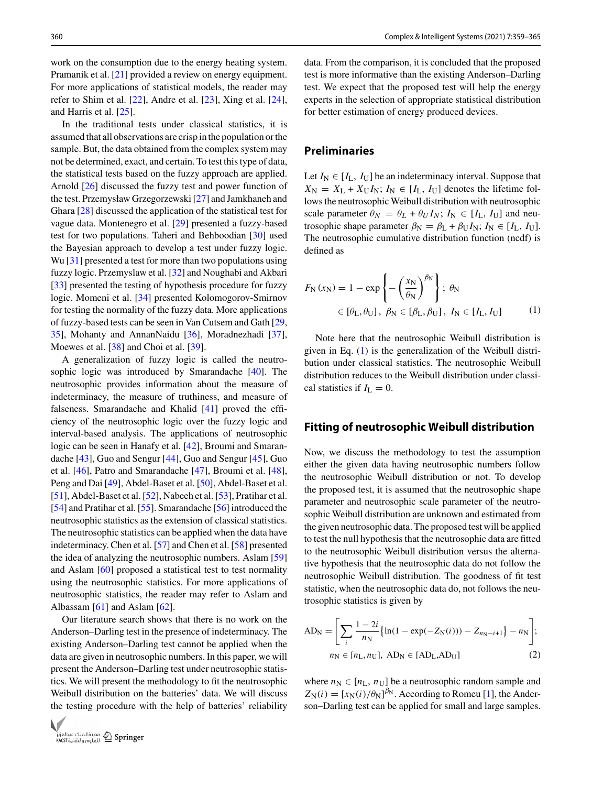work on the consumption due to the energy heating system. Pramanik et al. [\[21\]](#page-5-20) provided a review on energy equipment. For more applications of statistical models, the reader may refer to Shim et al.  $[22]$ , Andre et al.  $[23]$ , Xing et al.  $[24]$ , and Harris et al. [\[25\]](#page-6-2).

In the traditional tests under classical statistics, it is assumed that all observations are crisp in the population or the sample. But, the data obtained from the complex system may not be determined, exact, and certain. To test this type of data, the statistical tests based on the fuzzy approach are applied. Arnold [\[26\]](#page-6-3) discussed the fuzzy test and power function of the test. Przemysław Grzegorzewski [\[27\]](#page-6-4) and Jamkhaneh and Ghara [\[28\]](#page-6-5) discussed the application of the statistical test for vague data. Montenegro et al. [\[29\]](#page-6-6) presented a fuzzy-based test for two populations. Taheri and Behboodian [\[30\]](#page-6-7) used the Bayesian approach to develop a test under fuzzy logic. Wu [\[31\]](#page-6-8) presented a test for more than two populations using fuzzy logic. Przemyslaw et al. [\[32\]](#page-6-9) and Noughabi and Akbari [\[33\]](#page-6-10) presented the testing of hypothesis procedure for fuzzy logic. Momeni et al. [\[34\]](#page-6-11) presented Kolomogorov-Smirnov for testing the normality of the fuzzy data. More applications of fuzzy-based tests can be seen in Van Cutsem and Gath [\[29,](#page-6-6) [35\]](#page-6-12), Mohanty and AnnanNaidu [\[36\]](#page-6-13), Moradnezhadi [\[37\]](#page-6-14), Moewes et al. [\[38\]](#page-6-15) and Choi et al. [\[39\]](#page-6-16).

A generalization of fuzzy logic is called the neutrosophic logic was introduced by Smarandache [\[40\]](#page-6-17). The neutrosophic provides information about the measure of indeterminacy, the measure of truthiness, and measure of falseness. Smarandache and Khalid [\[41\]](#page-6-18) proved the efficiency of the neutrosophic logic over the fuzzy logic and interval-based analysis. The applications of neutrosophic logic can be seen in Hanafy et al. [\[42\]](#page-6-19), Broumi and Smarandache [\[43\]](#page-6-20), Guo and Sengur [\[44\]](#page-6-21), Guo and Sengur [\[45\]](#page-6-22), Guo et al. [\[46\]](#page-6-23), Patro and Smarandache [\[47\]](#page-6-24), Broumi et al. [\[48\]](#page-6-25), Peng and Dai [\[49\]](#page-6-26), Abdel-Baset et al. [\[50\]](#page-6-27), Abdel-Baset et al. [\[51\]](#page-6-28), Abdel-Baset et al. [\[52\]](#page-6-29), Nabeeh et al. [\[53\]](#page-6-30), Pratihar et al. [\[54\]](#page-6-31) and Pratihar et al. [\[55\]](#page-6-32). Smarandache [\[56\]](#page-6-33) introduced the neutrosophic statistics as the extension of classical statistics. The neutrosophic statistics can be applied when the data have indeterminacy. Chen et al. [\[57\]](#page-6-34) and Chen et al. [\[58\]](#page-6-35) presented the idea of analyzing the neutrosophic numbers. Aslam [\[59\]](#page-6-36) and Aslam [\[60\]](#page-6-37) proposed a statistical test to test normality using the neutrosophic statistics. For more applications of neutrosophic statistics, the reader may refer to Aslam and Albassam [\[61\]](#page-6-38) and Aslam [\[62\]](#page-6-39).

Our literature search shows that there is no work on the Anderson–Darling test in the presence of indeterminacy. The existing Anderson–Darling test cannot be applied when the data are given in neutrosophic numbers. In this paper, we will present the Anderson–Darling test under neutrosophic statistics. We will present the methodology to fit the neutrosophic Weibull distribution on the batteries' data. We will discuss the testing procedure with the help of batteries' reliability



data. From the comparison, it is concluded that the proposed test is more informative than the existing Anderson–Darling test. We expect that the proposed test will help the energy experts in the selection of appropriate statistical distribution for better estimation of energy produced devices.

## **Preliminaries**

Let  $I_N \in [I_L, I_U]$  be an indeterminacy interval. Suppose that  $X_N = X_L + X_U I_N$ ;  $I_N \in [I_L, I_U]$  denotes the lifetime follows the neutrosophic Weibull distribution with neutrosophic scale parameter  $\theta_N = \theta_L + \theta_U I_N$ ;  $I_N \in [I_L, I_U]$  and neutrosophic shape parameter  $\beta_N = \beta_L + \beta_U I_N$ ;  $I_N \in [I_L, I_U]$ . The neutrosophic cumulative distribution function (ncdf) is defined as

<span id="page-1-0"></span>
$$
F_{N}(x_{N}) = 1 - \exp\left\{-\left(\frac{x_{N}}{\theta_{N}}\right)^{\beta_{N}}\right\}; \ \theta_{N}
$$

$$
\in [\theta_{L}, \theta_{U}], \ \beta_{N} \in [\beta_{L}, \beta_{U}], \ I_{N} \in [I_{L}, I_{U}] \tag{1}
$$

Note here that the neutrosophic Weibull distribution is given in Eq. [\(1\)](#page-1-0) is the generalization of the Weibull distribution under classical statistics. The neutrosophic Weibull distribution reduces to the Weibull distribution under classical statistics if  $I_L = 0$ .

## **Fitting of neutrosophic Weibull distribution**

Now, we discuss the methodology to test the assumption either the given data having neutrosophic numbers follow the neutrosophic Weibull distribution or not. To develop the proposed test, it is assumed that the neutrosophic shape parameter and neutrosophic scale parameter of the neutrosophic Weibull distribution are unknown and estimated from the given neutrosophic data. The proposed test will be applied to test the null hypothesis that the neutrosophic data are fitted to the neutrosophic Weibull distribution versus the alternative hypothesis that the neutrosophic data do not follow the neutrosophic Weibull distribution. The goodness of fit test statistic, when the neutrosophic data do, not follows the neutrosophic statistics is given by

$$
AD_N = \left[ \sum_{i} \frac{1 - 2i}{n_N} \{ ln(1 - exp(-Z_N(i))) - Z_{n_N - i + 1} \} - n_N \right];
$$
  

$$
n_N \in [n_L, n_U], AD_N \in [AD_L, AD_U]
$$
 (2)

where  $n_N \in [n_L, n_U]$  be a neutrosophic random sample and  $Z_{\rm N}(i) = [x_{\rm N}(i)/\theta_{\rm N}]^{\beta_{\rm N}}$ . According to Romeu [\[1\]](#page-5-0), the Anderson–Darling test can be applied for small and large samples.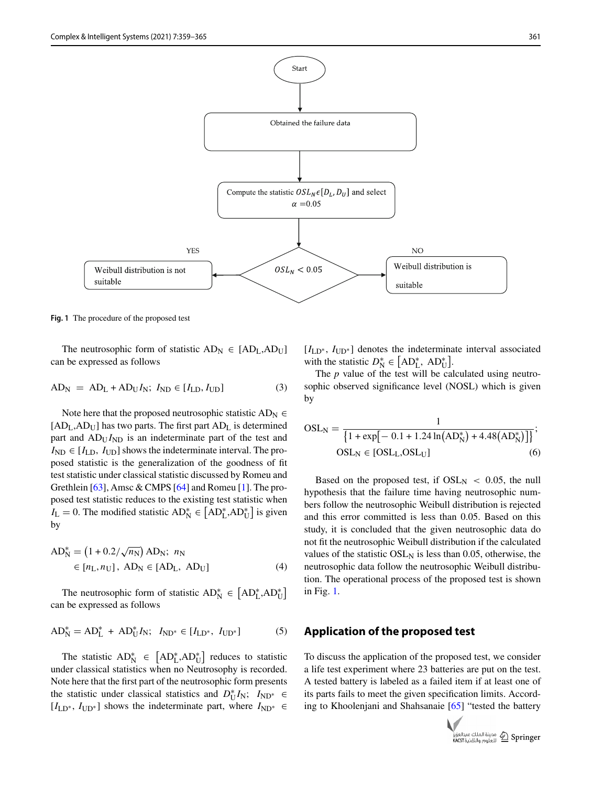

<span id="page-2-0"></span>**Fig. 1** The procedure of the proposed test

The neutrosophic form of statistic  $AD_N \in [AD_L, AD_U]$ can be expressed as follows

$$
AD_N = AD_L + AD_U I_N; I_{ND} \in [I_{LD}, I_{UD}] \tag{3}
$$

Note here that the proposed neutrosophic statistic  $AD_N \in$  $[AD_L, AD_U]$  has two parts. The first part  $AD_L$  is determined part and  $AD<sub>U</sub>I<sub>ND</sub>$  is an indeterminate part of the test and  $I_{ND} \in [I_{LD}, I_{UD}]$  shows the indeterminate interval. The proposed statistic is the generalization of the goodness of fit test statistic under classical statistic discussed by Romeu and Grethlein [\[63\]](#page-6-40), Amsc & CMPS [\[64\]](#page-6-41) and Romeu [\[1\]](#page-5-0). The proposed test statistic reduces to the existing test statistic when  $I_L = 0$ . The modified statistic  $AD_N^* \in [AD_L^*AD_U^*]$  is given by

$$
AD_N^* = (1 + 0.2/\sqrt{n_N}) AD_N; n_N
$$
  

$$
\in [n_L, n_U], AD_N \in [AD_L, AD_U]
$$
 (4)

The neutrosophic form of statistic  $AD_N^* \in [AD_L^*AD_U^*]$ can be expressed as follows

$$
AD_N^* = AD_L^* + AD_U^* I_N; I_{ND^*} \in [I_{LD^*}, I_{UD^*}]
$$
 (5)

The statistic  $AD_N^* \in [AD_L^*AD_U^*]$  reduces to statistic under classical statistics when no Neutrosophy is recorded. Note here that the first part of the neutrosophic form presents the statistic under classical statistics and  $D_{\text{U}}^* I_{\text{N}}$ ;  $I_{\text{ND}^*} \in$  $[I_{LD^*}, I_{UD^*}]$  shows the indeterminate part, where  $I_{ND^*} \in$  [*I*LD<sup>∗</sup> , *I*UD<sup>∗</sup> ] denotes the indeterminate interval associated with the statistic  $D_N^* \in [AD_L^*, AD_U^*]$ .

The *p* value of the test will be calculated using neutrosophic observed significance level (NOSL) which is given by

$$
OSL_N = \frac{1}{\left\{1 + \exp[-0.1 + 1.24 \ln(AD_N^*) + 4.48(AD_N^*)]\right\}};
$$
  

$$
OSL_N \in [OSL_L, OSL_U]
$$
 (6)

Based on the proposed test, if  $OSL<sub>N</sub> < 0.05$ , the null hypothesis that the failure time having neutrosophic numbers follow the neutrosophic Weibull distribution is rejected and this error committed is less than 0.05. Based on this study, it is concluded that the given neutrosophic data do not fit the neutrosophic Weibull distribution if the calculated values of the statistic  $OSL_N$  is less than 0.05, otherwise, the neutrosophic data follow the neutrosophic Weibull distribution. The operational process of the proposed test is shown in Fig. [1.](#page-2-0)

## **Application of the proposed test**

To discuss the application of the proposed test, we consider a life test experiment where 23 batteries are put on the test. A tested battery is labeled as a failed item if at least one of its parts fails to meet the given specification limits. According to Khoolenjani and Shahsanaie [\[65\]](#page-6-42) "tested the battery

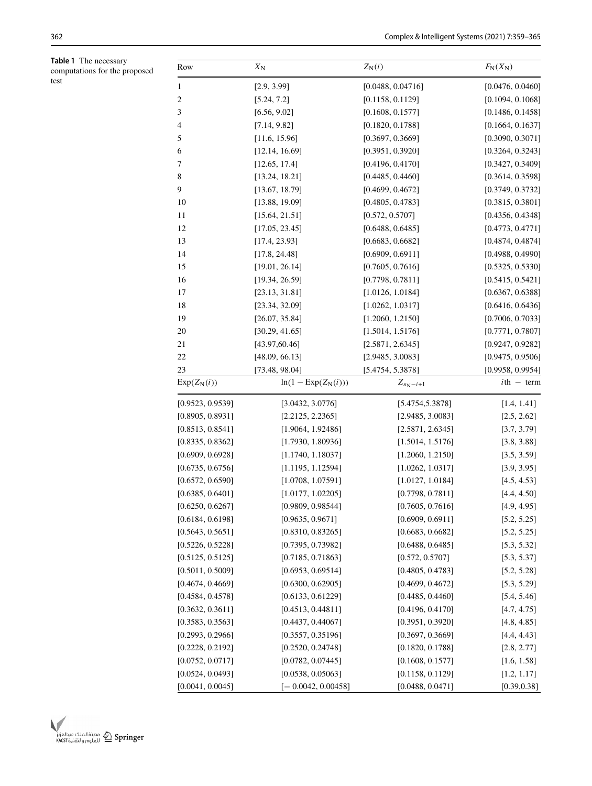<span id="page-3-0"></span>**Table 1** The necessary computations for the proposed test

| Row                     | $X_{\rm N}$                   | $Z_{N}(i)$        | $F_N(X_N)$       |
|-------------------------|-------------------------------|-------------------|------------------|
| $\mathbf{1}$            | [2.9, 3.99]                   | [0.0488, 0.04716] | [0.0476, 0.0460] |
| $\overline{\mathbf{c}}$ | [5.24, 7.2]                   | [0.1158, 0.1129]  | [0.1094, 0.1068] |
| 3                       | [6.56, 9.02]                  | [0.1608, 0.1577]  | [0.1486, 0.1458] |
| $\overline{4}$          | [7.14, 9.82]                  | [0.1820, 0.1788]  | [0.1664, 0.1637] |
| 5                       | [11.6, 15.96]                 | [0.3697, 0.3669]  | [0.3090, 0.3071] |
| 6                       | [12.14, 16.69]                | [0.3951, 0.3920]  | [0.3264, 0.3243] |
| 7                       | [12.65, 17.4]                 | [0.4196, 0.4170]  | [0.3427, 0.3409] |
| 8                       | [13.24, 18.21]                | [0.4485, 0.4460]  | [0.3614, 0.3598] |
| 9                       | [13.67, 18.79]                | [0.4699, 0.4672]  | [0.3749, 0.3732] |
| 10                      | [13.88, 19.09]                | [0.4805, 0.4783]  | [0.3815, 0.3801] |
| 11                      | [15.64, 21.51]                | [0.572, 0.5707]   | [0.4356, 0.4348] |
| 12                      | [17.05, 23.45]                | [0.6488, 0.6485]  | [0.4773, 0.4771] |
| 13                      | [17.4, 23.93]                 | [0.6683, 0.6682]  | [0.4874, 0.4874] |
| 14                      | [17.8, 24.48]                 | [0.6909, 0.6911]  | [0.4988, 0.4990] |
| 15                      | [19.01, 26.14]                | [0.7605, 0.7616]  | [0.5325, 0.5330] |
| 16                      | [19.34, 26.59]                | [0.7798, 0.7811]  | [0.5415, 0.5421] |
| 17                      | [23.13, 31.81]                | [1.0126, 1.0184]  | [0.6367, 0.6388] |
| 18                      | [23.34, 32.09]                | [1.0262, 1.0317]  | [0.6416, 0.6436] |
| 19                      | [26.07, 35.84]                | [1.2060, 1.2150]  | [0.7006, 0.7033] |
| 20                      | [30.29, 41.65]                | [1.5014, 1.5176]  | [0.7771, 0.7807] |
| 21                      | [43.97, 60.46]                | [2.5871, 2.6345]  | [0.9247, 0.9282] |
| 22                      | [48.09, 66.13]                | [2.9485, 3.0083]  | [0.9475, 0.9506] |
| 23                      | [73.48, 98.04]                | [5.4754, 5.3878]  | [0.9958, 0.9954] |
| $Exp(Z_N(i))$           | $\ln(1 - \text{Exp}(Z_N(i)))$ | $Z_{n_N-i+1}$     | $i$ th – term    |
| [0.9523, 0.9539]        | [3.0432, 3.0776]              | [5.4754, 5.3878]  | [1.4, 1.41]      |
| [0.8905, 0.8931]        | [2.2125, 2.2365]              | [2.9485, 3.0083]  | [2.5, 2.62]      |
| [0.8513, 0.8541]        | [1.9064, 1.92486]             | [2.5871, 2.6345]  | [3.7, 3.79]      |
| [0.8335, 0.8362]        | [1.7930, 1.80936]             | [1.5014, 1.5176]  | [3.8, 3.88]      |
| [0.6909, 0.6928]        | [1.1740, 1.18037]             | [1.2060, 1.2150]  | [3.5, 3.59]      |
| [0.6735, 0.6756]        | [1.1195, 1.12594]             | [1.0262, 1.0317]  | [3.9, 3.95]      |
| [0.6572, 0.6590]        | [1.0708, 1.07591]             | [1.0127, 1.0184]  | [4.5, 4.53]      |
| [0.6385, 0.6401]        | [1.0177, 1.02205]             | [0.7798, 0.7811]  | [4.4, 4.50]      |
| [0.6250, 0.6267]        | [0.9809, 0.98544]             | [0.7605, 0.7616]  | [4.9, 4.95]      |
| [0.6184, 0.6198]        | [0.9635, 0.9671]              | [0.6909, 0.6911]  | [5.2, 5.25]      |
| [0.5643, 0.5651]        | [0.8310, 0.83265]             | [0.6683, 0.6682]  | [5.2, 5.25]      |
| [0.5226, 0.5228]        | [0.7395, 0.73982]             | [0.6488, 0.6485]  | [5.3, 5.32]      |
| [0.5125, 0.5125]        | [0.7185, 0.71863]             | [0.572, 0.5707]   | [5.3, 5.37]      |
| [0.5011, 0.5009]        | [0.6953, 0.69514]             | [0.4805, 0.4783]  | [5.2, 5.28]      |
| [0.4674, 0.4669]        | [0.6300, 0.62905]             | [0.4699, 0.4672]  | [5.3, 5.29]      |
| [0.4584, 0.4578]        | [0.6133, 0.61229]             | [0.4485, 0.4460]  | [5.4, 5.46]      |
| [0.3632, 0.3611]        | [0.4513, 0.44811]             | [0.4196, 0.4170]  | [4.7, 4.75]      |
| [0.3583, 0.3563]        | [0.4437, 0.44067]             | [0.3951, 0.3920]  | [4.8, 4.85]      |
| [0.2993, 0.2966]        | [0.3557, 0.35196]             | [0.3697, 0.3669]  | [4.4, 4.43]      |
| [0.2228, 0.2192]        | [0.2520, 0.24748]             | [0.1820, 0.1788]  | [2.8, 2.77]      |
| [0.0752, 0.0717]        | [0.0782, 0.07445]             | [0.1608, 0.1577]  | [1.6, 1.58]      |
| [0.0524, 0.0493]        | [0.0538, 0.05063]             | [0.1158, 0.1129]  | [1.2, 1.17]      |
| [0.0041, 0.0045]        | $[-0.0042, 0.00458]$          | [0.0488, 0.0471]  | [0.39, 0.38]     |

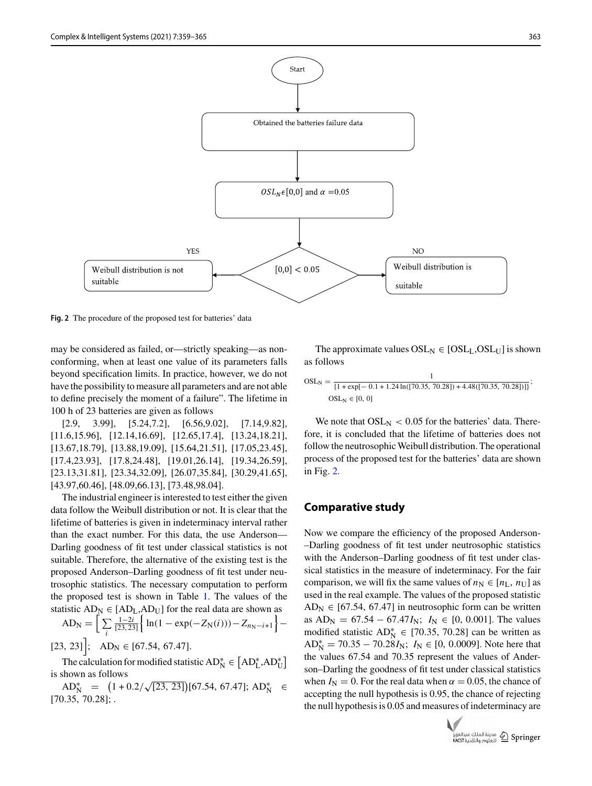

<span id="page-4-0"></span>**Fig. 2** The procedure of the proposed test for batteries' data

may be considered as failed, or—strictly speaking—as nonconforming, when at least one value of its parameters falls beyond specification limits. In practice, however, we do not have the possibility to measure all parameters and are not able to define precisely the moment of a failure". The lifetime in 100 h of 23 batteries are given as follows

[2.9, 3.99], [5.24,7.2], [6.56,9.02], [7.14,9.82], [11.6,15.96], [12.14,16.69], [12.65,17.4], [13.24,18.21], [13.67,18.79], [13.88,19.09], [15.64,21.51], [17.05,23.45], [17.4,23.93], [17.8,24.48], [19.01,26.14], [19.34,26.59], [23.13,31.81], [23.34,32.09], [26.07,35.84], [30.29,41.65], [43.97,60.46], [48.09,66.13], [73.48,98.04].

The industrial engineer is interested to test either the given data follow the Weibull distribution or not. It is clear that the lifetime of batteries is given in indeterminacy interval rather than the exact number. For this data, the use Anderson— Darling goodness of fit test under classical statistics is not suitable. Therefore, the alternative of the existing test is the proposed Anderson–Darling goodness of fit test under neutrosophic statistics. The necessary computation to perform the proposed test is shown in Table [1.](#page-3-0) The values of the statistic  $AD_N \in [AD_L, AD_U]$  for the real data are shown as  $AD_N = \left\lceil \sum_{i=1}^{n} \right\rceil$  $\frac{1-2i}{[23,23]}$   $\left\{ \ln(1 - \exp(-Z_N(i))) - Z_{n_N - i + 1} \right\}$  –

*i*  $[23, 23]$ ; AD<sub>N</sub>  $\in$  [67.54, 67.47].

The calculation for modified statistic  $AD_N^* \in \left[AD_L^*AD_U^*\right]$ is shown as follows

 $AD_N^* = (1 + 0.2/\sqrt{23, 23})$ [67.54, 67.47];  $AD_N^* \in$  $[70.35, 70.28]$ ;

The approximate values  $OSL_N \in [OSL_L,OSL_U]$  is shown as follows

$$
OSL_N = \frac{1}{\{1 + \exp[-0.1 + 1.24 \ln([70.35, 70.28]) + 4.48([70.35, 70.28])]\}};
$$
  
 
$$
OSL_N \in [0, 0]
$$

We note that  $OSL<sub>N</sub> < 0.05$  for the batteries' data. Therefore, it is concluded that the lifetime of batteries does not follow the neutrosophic Weibull distribution. The operational process of the proposed test for the batteries' data are shown in Fig. [2.](#page-4-0)

## **Comparative study**

Now we compare the efficiency of the proposed Anderson- –Darling goodness of fit test under neutrosophic statistics with the Anderson–Darling goodness of fit test under classical statistics in the measure of indeterminacy. For the fair comparison, we will fix the same values of  $n_N \in [n_L, n_U]$  as used in the real example. The values of the proposed statistic  $AD_N \in [67.54, 67.47]$  in neutrosophic form can be written as  $AD_N = 67.54 - 67.47I_N$ ;  $I_N \in [0, 0.001]$ . The values modified statistic  $AD_N^* \in [70.35, 70.28]$  can be written as  $AD_N^* = 70.35 - 70.28I_N$ ;  $I_N \in [0, 0.0009]$ . Note here that the values 67.54 and 70.35 represent the values of Anderson–Darling the goodness of fit test under classical statistics when  $I_N = 0$ . For the real data when  $\alpha = 0.05$ , the chance of accepting the null hypothesis is 0.95, the chance of rejecting the null hypothesis is 0.05 and measures of indeterminacy are

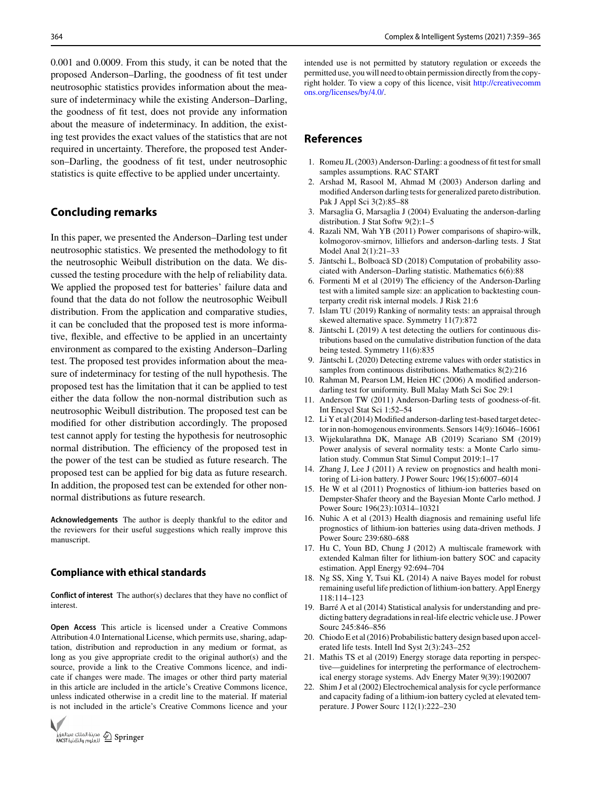0.001 and 0.0009. From this study, it can be noted that the proposed Anderson–Darling, the goodness of fit test under neutrosophic statistics provides information about the measure of indeterminacy while the existing Anderson–Darling, the goodness of fit test, does not provide any information about the measure of indeterminacy. In addition, the existing test provides the exact values of the statistics that are not required in uncertainty. Therefore, the proposed test Anderson–Darling, the goodness of fit test, under neutrosophic statistics is quite effective to be applied under uncertainty.

# **Concluding remarks**

In this paper, we presented the Anderson–Darling test under neutrosophic statistics. We presented the methodology to fit the neutrosophic Weibull distribution on the data. We discussed the testing procedure with the help of reliability data. We applied the proposed test for batteries' failure data and found that the data do not follow the neutrosophic Weibull distribution. From the application and comparative studies, it can be concluded that the proposed test is more informative, flexible, and effective to be applied in an uncertainty environment as compared to the existing Anderson–Darling test. The proposed test provides information about the measure of indeterminacy for testing of the null hypothesis. The proposed test has the limitation that it can be applied to test either the data follow the non-normal distribution such as neutrosophic Weibull distribution. The proposed test can be modified for other distribution accordingly. The proposed test cannot apply for testing the hypothesis for neutrosophic normal distribution. The efficiency of the proposed test in the power of the test can be studied as future research. The proposed test can be applied for big data as future research. In addition, the proposed test can be extended for other nonnormal distributions as future research.

**Acknowledgements** The author is deeply thankful to the editor and the reviewers for their useful suggestions which really improve this manuscript.

#### **Compliance with ethical standards**

**Conflict of interest** The author(s) declares that they have no conflict of interest.

**Open Access** This article is licensed under a Creative Commons Attribution 4.0 International License, which permits use, sharing, adaptation, distribution and reproduction in any medium or format, as long as you give appropriate credit to the original author(s) and the source, provide a link to the Creative Commons licence, and indicate if changes were made. The images or other third party material in this article are included in the article's Creative Commons licence, unless indicated otherwise in a credit line to the material. If material is not included in the article's Creative Commons licence and your



intended use is not permitted by statutory regulation or exceeds the permitted use, you will need to obtain permission directly from the copyright holder. To view a copy of this licence, visit [http://creativecomm](http://creativecommons.org/licenses/by/4.0/) [ons.org/licenses/by/4.0/.](http://creativecommons.org/licenses/by/4.0/)

## **References**

- <span id="page-5-0"></span>1. Romeu JL (2003) Anderson-Darling: a goodness of fit test for small samples assumptions. RAC START
- <span id="page-5-1"></span>2. Arshad M, Rasool M, Ahmad M (2003) Anderson darling and modified Anderson darling tests for generalized pareto distribution. Pak J Appl Sci 3(2):85–88
- <span id="page-5-2"></span>3. Marsaglia G, Marsaglia J (2004) Evaluating the anderson-darling distribution. J Stat Softw 9(2):1–5
- <span id="page-5-3"></span>4. Razali NM, Wah YB (2011) Power comparisons of shapiro-wilk, kolmogorov-smirnov, lilliefors and anderson-darling tests. J Stat Model Anal 2(1):21–33
- <span id="page-5-4"></span>5. Jäntschi L, Bolboacă SD (2018) Computation of probability associated with Anderson–Darling statistic. Mathematics 6(6):88
- <span id="page-5-5"></span>6. Formenti M et al (2019) The efficiency of the Anderson-Darling test with a limited sample size: an application to backtesting counterparty credit risk internal models. J Risk 21:6
- <span id="page-5-6"></span>7. Islam TU (2019) Ranking of normality tests: an appraisal through skewed alternative space. Symmetry 11(7):872
- <span id="page-5-7"></span>8. Jäntschi L (2019) A test detecting the outliers for continuous distributions based on the cumulative distribution function of the data being tested. Symmetry 11(6):835
- <span id="page-5-8"></span>9. Jäntschi L (2020) Detecting extreme values with order statistics in samples from continuous distributions. Mathematics 8(2):216
- <span id="page-5-9"></span>10. Rahman M, Pearson LM, Heien HC (2006) A modified andersondarling test for uniformity. Bull Malay Math Sci Soc 29:1
- <span id="page-5-10"></span>11. Anderson TW (2011) Anderson-Darling tests of goodness-of-fit. Int Encycl Stat Sci 1:52–54
- <span id="page-5-11"></span>12. Li Y et al (2014) Modified anderson-darling test-based target detector in non-homogenous environments. Sensors 14(9):16046–16061
- <span id="page-5-12"></span>13. Wijekularathna DK, Manage AB (2019) Scariano SM (2019) Power analysis of several normality tests: a Monte Carlo simulation study. Commun Stat Simul Comput 2019:1–17
- <span id="page-5-13"></span>14. Zhang J, Lee J (2011) A review on prognostics and health monitoring of Li-ion battery. J Power Sourc 196(15):6007–6014
- <span id="page-5-14"></span>15. He W et al (2011) Prognostics of lithium-ion batteries based on Dempster-Shafer theory and the Bayesian Monte Carlo method. J Power Sourc 196(23):10314–10321
- <span id="page-5-15"></span>16. Nuhic A et al (2013) Health diagnosis and remaining useful life prognostics of lithium-ion batteries using data-driven methods. J Power Sourc 239:680–688
- <span id="page-5-16"></span>17. Hu C, Youn BD, Chung J (2012) A multiscale framework with extended Kalman filter for lithium-ion battery SOC and capacity estimation. Appl Energy 92:694–704
- <span id="page-5-17"></span>18. Ng SS, Xing Y, Tsui KL (2014) A naive Bayes model for robust remaining useful life prediction of lithium-ion battery. Appl Energy 118:114–123
- <span id="page-5-18"></span>19. Barré A et al (2014) Statistical analysis for understanding and predicting battery degradations in real-life electric vehicle use. J Power Sourc 245:846–856
- <span id="page-5-19"></span>20. Chiodo E et al (2016) Probabilistic battery design based upon accelerated life tests. Intell Ind Syst 2(3):243–252
- <span id="page-5-20"></span>21. Mathis TS et al (2019) Energy storage data reporting in perspective—guidelines for interpreting the performance of electrochemical energy storage systems. Adv Energy Mater 9(39):1902007
- <span id="page-5-21"></span>22. Shim J et al (2002) Electrochemical analysis for cycle performance and capacity fading of a lithium-ion battery cycled at elevated temperature. J Power Sourc 112(1):222–230